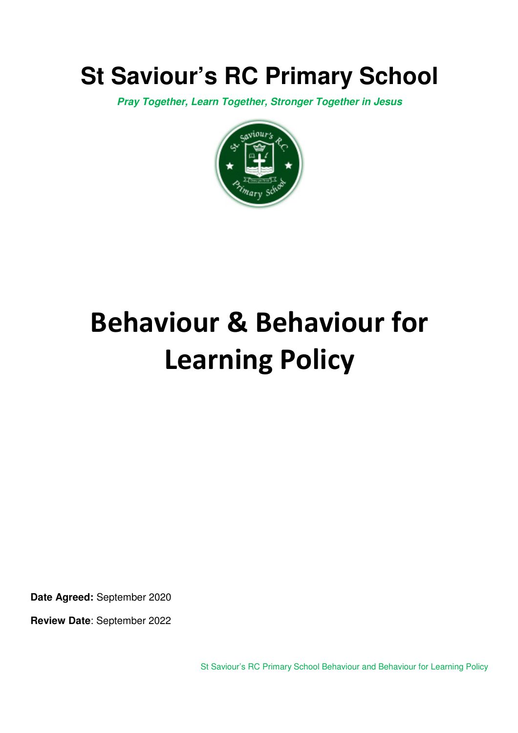## **St Saviour's RC Primary School**

*Pray Together, Learn Together, Stronger Together in Jesus* 



# **Behaviour & Behaviour for Learning Policy**

**Date Agreed:** September 2020

**Review Date**: September 2022

St Saviour's RC Primary School Behaviour and Behaviour for Learning Policy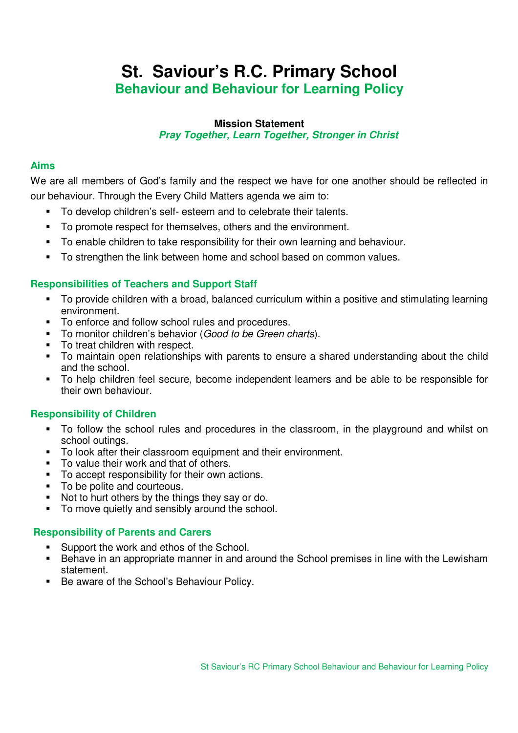## **St. Saviour's R.C. Primary School Behaviour and Behaviour for Learning Policy**

#### **Mission Statement**  *Pray Together, Learn Together, Stronger in Christ*

#### **Aims**

We are all members of God's family and the respect we have for one another should be reflected in our behaviour. Through the Every Child Matters agenda we aim to:

- To develop children's self- esteem and to celebrate their talents.
- To promote respect for themselves, others and the environment.
- To enable children to take responsibility for their own learning and behaviour.
- To strengthen the link between home and school based on common values.

#### **Responsibilities of Teachers and Support Staff**

- To provide children with a broad, balanced curriculum within a positive and stimulating learning environment.
- $\blacksquare$  To enforce and follow school rules and procedures.
- To monitor children's behavior (*Good to be Green charts*).
- To treat children with respect.
- To maintain open relationships with parents to ensure a shared understanding about the child and the school.
- To help children feel secure, become independent learners and be able to be responsible for their own behaviour.

#### **Responsibility of Children**

- To follow the school rules and procedures in the classroom, in the playground and whilst on school outings.
- To look after their classroom equipment and their environment.
- To value their work and that of others.
- To accept responsibility for their own actions.
- To be polite and courteous.
- Not to hurt others by the things they say or do.
- To move quietly and sensibly around the school.

#### **Responsibility of Parents and Carers**

- Support the work and ethos of the School.
- Behave in an appropriate manner in and around the School premises in line with the Lewisham statement.
- Be aware of the School's Behaviour Policy.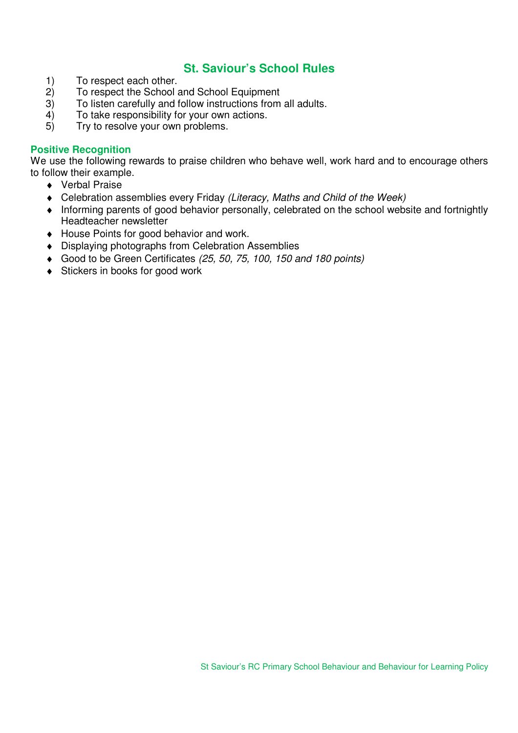## **St. Saviour's School Rules**

- 1) To respect each other.<br>2) To respect the School
- 2) To respect the School and School Equipment<br>3) To listen carefully and follow instructions from
- To listen carefully and follow instructions from all adults.
- 4) To take responsibility for your own actions.
- 5) Try to resolve your own problems.

#### **Positive Recognition**

We use the following rewards to praise children who behave well, work hard and to encourage others to follow their example.

- ♦ Verbal Praise
- ♦ Celebration assemblies every Friday *(Literacy, Maths and Child of the Week)*
- ♦ Informing parents of good behavior personally, celebrated on the school website and fortnightly Headteacher newsletter
- ♦ House Points for good behavior and work.
- ♦ Displaying photographs from Celebration Assemblies
- ♦ Good to be Green Certificates *(25, 50, 75, 100, 150 and 180 points)*
- ♦ Stickers in books for good work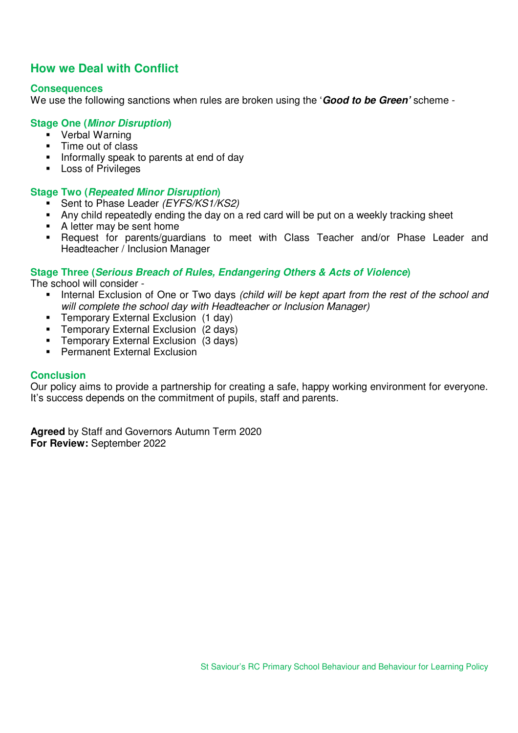### **How we Deal with Conflict**

#### **Consequences**

We use the following sanctions when rules are broken using the '*Good to be Green'* scheme -

#### **Stage One (***Minor Disruption***)**

- **•** Verbal Warning
- **Time out of class**
- **Informally speak to parents at end of day**
- **Loss of Privileges**

#### **Stage Two (***Repeated Minor Disruption***)**

- Sent to Phase Leader *(EYFS/KS1/KS2)*
- Any child repeatedly ending the day on a red card will be put on a weekly tracking sheet
- A letter may be sent home
- Request for parents/guardians to meet with Class Teacher and/or Phase Leader and Headteacher / Inclusion Manager

#### **Stage Three (***Serious Breach of Rules, Endangering Others & Acts of Violence***)**

The school will consider -

- Internal Exclusion of One or Two days *(child will be kept apart from the rest of the school and will complete the school day with Headteacher or Inclusion Manager)*
- **Temporary External Exclusion (1 day)**
- **Temporary External Exclusion (2 days)**
- **Temporary External Exclusion (3 days)**
- **Permanent External Exclusion**

#### **Conclusion**

Our policy aims to provide a partnership for creating a safe, happy working environment for everyone. It's success depends on the commitment of pupils, staff and parents.

**Agreed** by Staff and Governors Autumn Term 2020 **For Review:** September 2022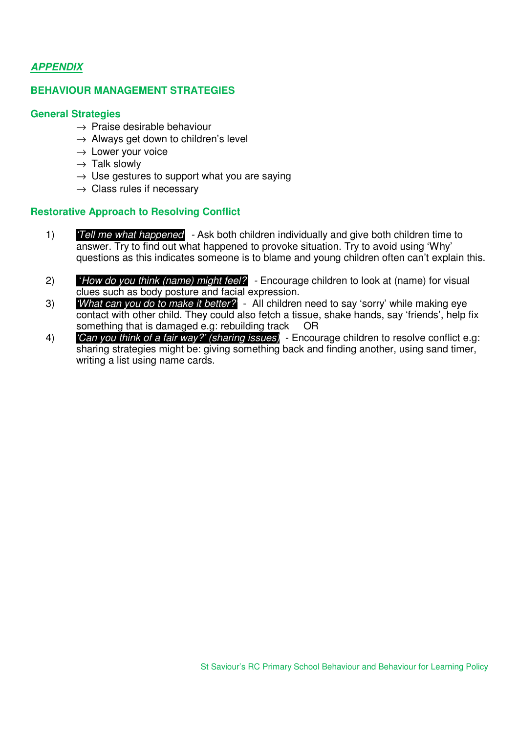#### *APPENDIX*

#### **BEHAVIOUR MANAGEMENT STRATEGIES**

#### **General Strategies**

- $\rightarrow$  Praise desirable behaviour
- $\rightarrow$  Always get down to children's level
- $\rightarrow$  Lower your voice
- $\rightarrow$  Talk slowly
- $\rightarrow$  Use gestures to support what you are saying
- $\rightarrow$  Class rules if necessary

#### **Restorative Approach to Resolving Conflict**

- 1) *'Tell me what happened' -* Ask both children individually and give both children time to answer. Try to find out what happened to provoke situation. Try to avoid using 'Why' questions as this indicates someone is to blame and young children often can't explain this.
- 2) '*How do you think (name) might feel?'* Encourage children to look at (name) for visual clues such as body posture and facial expression.
- 3) *'What can you do to make it better?'* All children need to say 'sorry' while making eye contact with other child. They could also fetch a tissue, shake hands, say 'friends', help fix something that is damaged e.g: rebuilding track OR
- 4) *'Can you think of a fair way?' (sharing issues)*  Encourage children to resolve conflict e.g: sharing strategies might be: giving something back and finding another, using sand timer, writing a list using name cards.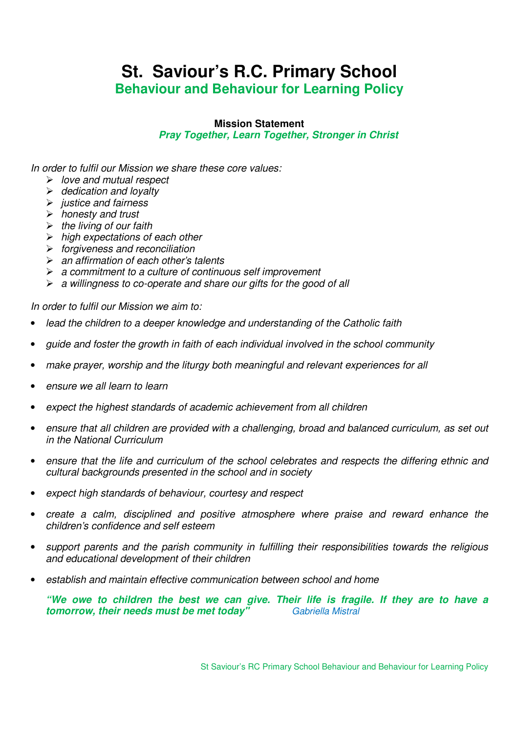## **St. Saviour's R.C. Primary School Behaviour and Behaviour for Learning Policy**

#### **Mission Statement**

*Pray Together, Learn Together, Stronger in Christ* 

*In order to fulfil our Mission we share these core values:* 

- *love and mutual respect*
- *dedication and loyalty*
- *justice and fairness*
- *honesty and trust*
- *the living of our faith*
- *high expectations of each other*
- *forgiveness and reconciliation*
- *an affirmation of each other's talents*
- *a commitment to a culture of continuous self improvement*
- *a willingness to co-operate and share our gifts for the good of all*

*In order to fulfil our Mission we aim to:*

- *lead the children to a deeper knowledge and understanding of the Catholic faith*
- *guide and foster the growth in faith of each individual involved in the school community*
- *make prayer, worship and the liturgy both meaningful and relevant experiences for all*
- *ensure we all learn to learn*
- *expect the highest standards of academic achievement from all children*
- *ensure that all children are provided with a challenging, broad and balanced curriculum, as set out in the National Curriculum*
- *ensure that the life and curriculum of the school celebrates and respects the differing ethnic and cultural backgrounds presented in the school and in society*
- *expect high standards of behaviour, courtesy and respect*
- *create a calm, disciplined and positive atmosphere where praise and reward enhance the children's confidence and self esteem*
- *support parents and the parish community in fulfilling their responsibilities towards the religious and educational development of their children*
- *establish and maintain effective communication between school and home*

*"We owe to children the best we can give. Their life is fragile. If they are to have a tomorrow, their needs must be met today" Gabriella Mistral*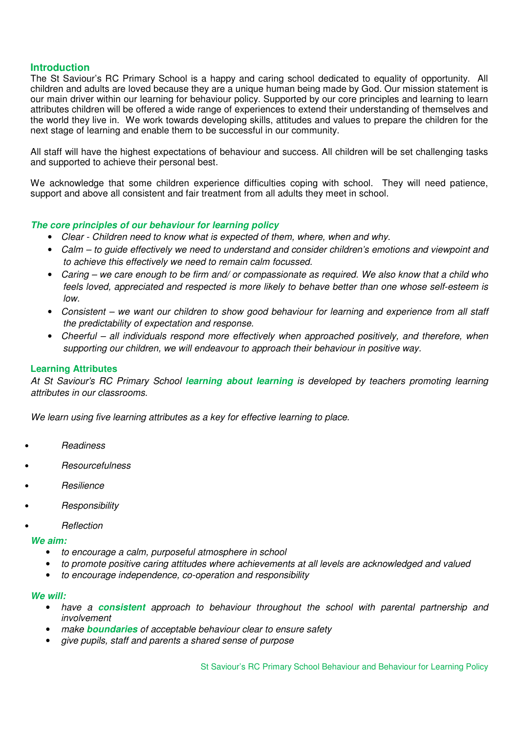#### **Introduction**

The St Saviour's RC Primary School is a happy and caring school dedicated to equality of opportunity. All children and adults are loved because they are a unique human being made by God. Our mission statement is our main driver within our learning for behaviour policy. Supported by our core principles and learning to learn attributes children will be offered a wide range of experiences to extend their understanding of themselves and the world they live in. We work towards developing skills, attitudes and values to prepare the children for the next stage of learning and enable them to be successful in our community.

All staff will have the highest expectations of behaviour and success. All children will be set challenging tasks and supported to achieve their personal best.

We acknowledge that some children experience difficulties coping with school. They will need patience, support and above all consistent and fair treatment from all adults they meet in school.

#### *The core principles of our behaviour for learning policy*

- *Clear Children need to know what is expected of them, where, when and why.*
- *Calm to guide effectively we need to understand and consider children's emotions and viewpoint and to achieve this effectively we need to remain calm focussed.*
- *Caring we care enough to be firm and/ or compassionate as required. We also know that a child who feels loved, appreciated and respected is more likely to behave better than one whose self-esteem is low.*
- *Consistent we want our children to show good behaviour for learning and experience from all staff the predictability of expectation and response.*
- *Cheerful all individuals respond more effectively when approached positively, and therefore, when supporting our children, we will endeavour to approach their behaviour in positive way.*

#### **Learning Attributes**

*At St Saviour's RC Primary School learning about learning is developed by teachers promoting learning attributes in our classrooms.* 

*We learn using five learning attributes as a key for effective learning to place.* 

- *Readiness*
- *Resourcefulness*
- *Resilience*
- *Responsibility*
- *Reflection*

*We aim:* 

- *to encourage a calm, purposeful atmosphere in school*
- *to promote positive caring attitudes where achievements at all levels are acknowledged and valued*
- *to encourage independence, co-operation and responsibility*

#### *We will:*

- *have a consistent approach to behaviour throughout the school with parental partnership and involvement*
- *make boundaries of acceptable behaviour clear to ensure safety*
- *give pupils, staff and parents a shared sense of purpose*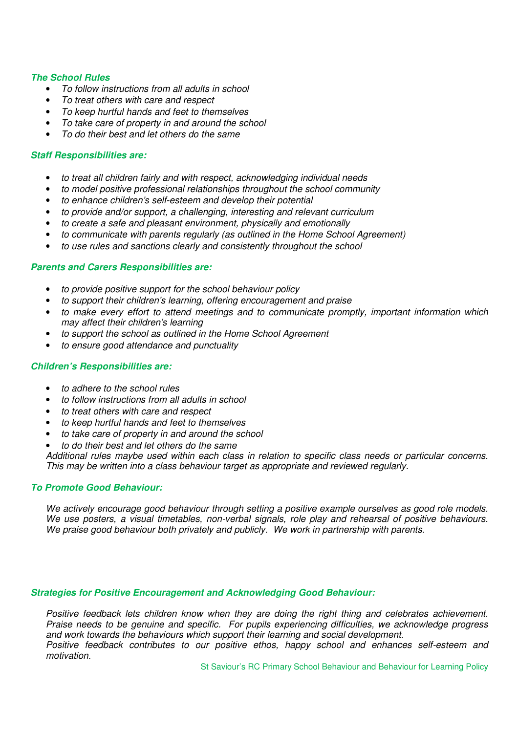#### *The School Rules*

- *To follow instructions from all adults in school*
- *To treat others with care and respect*
- *To keep hurtful hands and feet to themselves*
- *To take care of property in and around the school*
- *To do their best and let others do the same*

#### *Staff Responsibilities are:*

- *to treat all children fairly and with respect, acknowledging individual needs*
- *to model positive professional relationships throughout the school community*
- *to enhance children's self-esteem and develop their potential*
- *to provide and/or support, a challenging, interesting and relevant curriculum*
- *to create a safe and pleasant environment, physically and emotionally*
- *to communicate with parents regularly (as outlined in the Home School Agreement)*
- *to use rules and sanctions clearly and consistently throughout the school*

#### *Parents and Carers Responsibilities are:*

- *to provide positive support for the school behaviour policy*
- *to support their children's learning, offering encouragement and praise*
- *to make every effort to attend meetings and to communicate promptly, important information which may affect their children's learning*
- *to support the school as outlined in the Home School Agreement*
- *to ensure good attendance and punctuality*

#### *Children's Responsibilities are:*

- *to adhere to the school rules*
- *to follow instructions from all adults in school*
- *to treat others with care and respect*
- *to keep hurtful hands and feet to themselves*
- *to take care of property in and around the school*
- *to do their best and let others do the same*

*Additional rules maybe used within each class in relation to specific class needs or particular concerns. This may be written into a class behaviour target as appropriate and reviewed regularly.* 

#### *To Promote Good Behaviour:*

*We actively encourage good behaviour through setting a positive example ourselves as good role models. We use posters, a visual timetables, non-verbal signals, role play and rehearsal of positive behaviours. We praise good behaviour both privately and publicly. We work in partnership with parents.* 

#### *Strategies for Positive Encouragement and Acknowledging Good Behaviour:*

*Positive feedback lets children know when they are doing the right thing and celebrates achievement. Praise needs to be genuine and specific. For pupils experiencing difficulties, we acknowledge progress and work towards the behaviours which support their learning and social development. Positive feedback contributes to our positive ethos, happy school and enhances self-esteem and* 

*motivation.*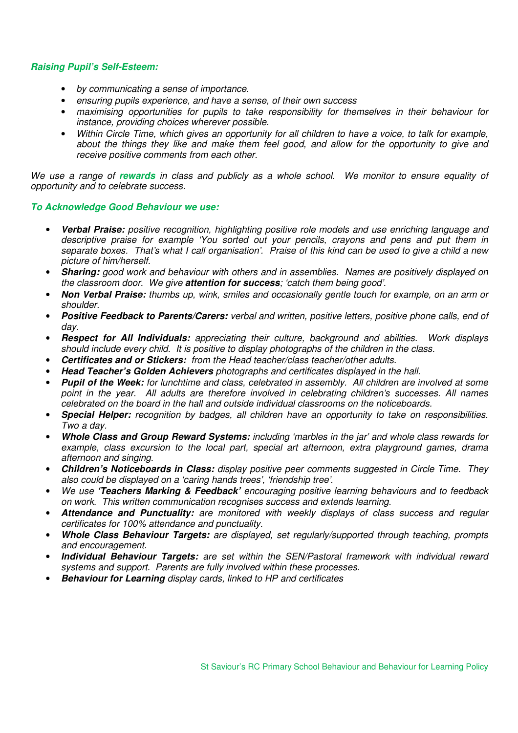#### *Raising Pupil's Self-Esteem:*

- *by communicating a sense of importance.*
- *ensuring pupils experience, and have a sense, of their own success*
- *maximising opportunities for pupils to take responsibility for themselves in their behaviour for instance, providing choices wherever possible.*
- *Within Circle Time, which gives an opportunity for all children to have a voice, to talk for example, about the things they like and make them feel good, and allow for the opportunity to give and receive positive comments from each other.*

*We use a range of rewards in class and publicly as a whole school. We monitor to ensure equality of opportunity and to celebrate success.* 

#### *To Acknowledge Good Behaviour we use:*

- *Verbal Praise: positive recognition, highlighting positive role models and use enriching language and descriptive praise for example 'You sorted out your pencils, crayons and pens and put them in separate boxes. That's what I call organisation'. Praise of this kind can be used to give a child a new picture of him/herself.*
- *Sharing: good work and behaviour with others and in assemblies. Names are positively displayed on the classroom door. We give attention for success; 'catch them being good'.*
- *Non Verbal Praise: thumbs up, wink, smiles and occasionally gentle touch for example, on an arm or shoulder.*
- *Positive Feedback to Parents/Carers: verbal and written, positive letters, positive phone calls, end of day.*
- *Respect for All Individuals: appreciating their culture, background and abilities. Work displays should include every child. It is positive to display photographs of the children in the class.*
- *Certificates and or Stickers: from the Head teacher/class teacher/other adults.*
- *Head Teacher's Golden Achievers photographs and certificates displayed in the hall.*
- *Pupil of the Week: for lunchtime and class, celebrated in assembly. All children are involved at some point in the year. All adults are therefore involved in celebrating children's successes. All names celebrated on the board in the hall and outside individual classrooms on the noticeboards.*
- *Special Helper: recognition by badges, all children have an opportunity to take on responsibilities. Two a day.*
- *Whole Class and Group Reward Systems: including 'marbles in the jar' and whole class rewards for example, class excursion to the local part, special art afternoon, extra playground games, drama afternoon and singing.*
- *Children's Noticeboards in Class: display positive peer comments suggested in Circle Time. They also could be displayed on a 'caring hands trees', 'friendship tree'.*
- *We use 'Teachers Marking & Feedback' encouraging positive learning behaviours and to feedback on work. This written communication recognises success and extends learning.*
- *Attendance and Punctuality: are monitored with weekly displays of class success and regular certificates for 100% attendance and punctuality.*
- *Whole Class Behaviour Targets: are displayed, set regularly/supported through teaching, prompts and encouragement.*
- *Individual Behaviour Targets: are set within the SEN/Pastoral framework with individual reward systems and support. Parents are fully involved within these processes.*
- *Behaviour for Learning display cards, linked to HP and certificates*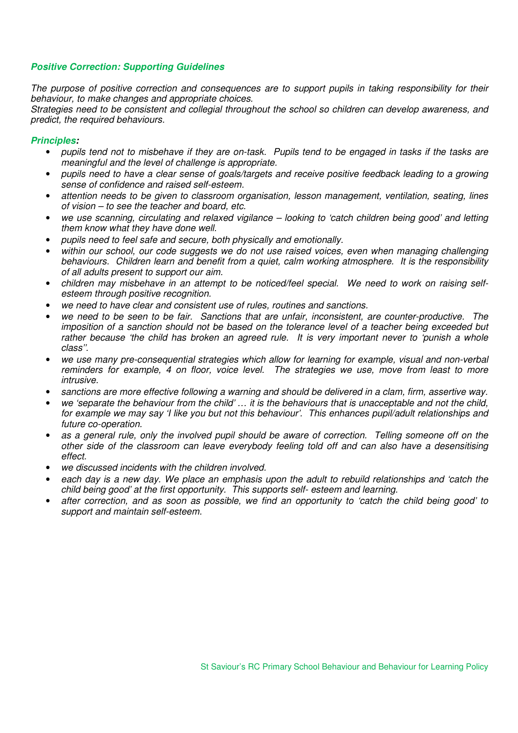#### *Positive Correction: Supporting Guidelines*

*The purpose of positive correction and consequences are to support pupils in taking responsibility for their behaviour, to make changes and appropriate choices.*

*Strategies need to be consistent and collegial throughout the school so children can develop awareness, and predict, the required behaviours.* 

#### *Principles:*

- *pupils tend not to misbehave if they are on-task. Pupils tend to be engaged in tasks if the tasks are meaningful and the level of challenge is appropriate.*
- *pupils need to have a clear sense of goals/targets and receive positive feedback leading to a growing sense of confidence and raised self-esteem.*
- *attention needs to be given to classroom organisation, lesson management, ventilation, seating, lines of vision – to see the teacher and board, etc.*
- *we use scanning, circulating and relaxed vigilance looking to 'catch children being good' and letting them know what they have done well.*
- *pupils need to feel safe and secure, both physically and emotionally.*
- *within our school, our code suggests we do not use raised voices, even when managing challenging behaviours. Children learn and benefit from a quiet, calm working atmosphere. It is the responsibility of all adults present to support our aim.*
- *children may misbehave in an attempt to be noticed/feel special. We need to work on raising selfesteem through positive recognition.*
- *we need to have clear and consistent use of rules, routines and sanctions.*
- *we need to be seen to be fair. Sanctions that are unfair, inconsistent, are counter-productive. The imposition of a sanction should not be based on the tolerance level of a teacher being exceeded but rather because 'the child has broken an agreed rule. It is very important never to 'punish a whole class''.*
- *we use many pre-consequential strategies which allow for learning for example, visual and non-verbal reminders for example, 4 on floor, voice level. The strategies we use, move from least to more intrusive.*
- *sanctions are more effective following a warning and should be delivered in a clam, firm, assertive way.*
- *we 'separate the behaviour from the child' … it is the behaviours that is unacceptable and not the child, for example we may say 'I like you but not this behaviour'. This enhances pupil/adult relationships and future co-operation.*
- *as a general rule, only the involved pupil should be aware of correction. Telling someone off on the other side of the classroom can leave everybody feeling told off and can also have a desensitising effect.*
- *we discussed incidents with the children involved.*
- *each day is a new day. We place an emphasis upon the adult to rebuild relationships and 'catch the child being good' at the first opportunity. This supports self- esteem and learning.*
- *after correction, and as soon as possible, we find an opportunity to 'catch the child being good' to support and maintain self-esteem.*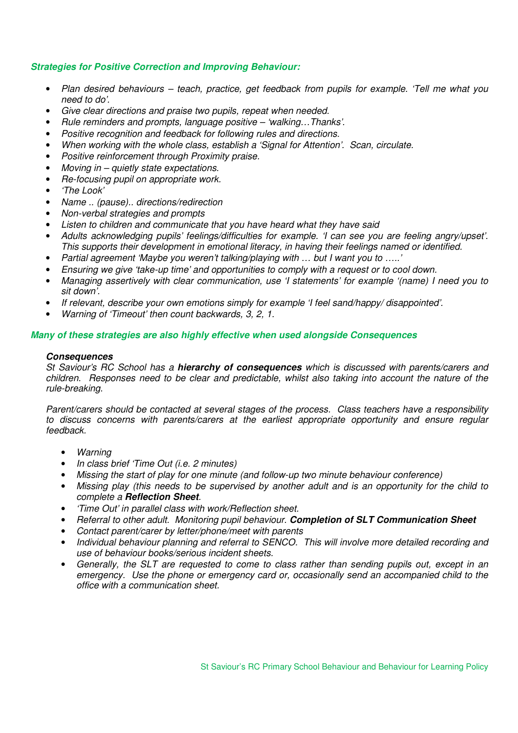#### *Strategies for Positive Correction and Improving Behaviour:*

- *Plan desired behaviours teach, practice, get feedback from pupils for example. 'Tell me what you need to do'.*
- *Give clear directions and praise two pupils, repeat when needed.*
- *Rule reminders and prompts, language positive 'walking…Thanks'.*
- *Positive recognition and feedback for following rules and directions.*
- *When working with the whole class, establish a 'Signal for Attention'. Scan, circulate.*
- *Positive reinforcement through Proximity praise.*
- *Moving in quietly state expectations.*
- *Re-focusing pupil on appropriate work.*
- *'The Look'*
- *Name .. (pause).. directions/redirection*
- *Non-verbal strategies and prompts*
- *Listen to children and communicate that you have heard what they have said*
- *Adults acknowledging pupils' feelings/difficulties for example. 'I can see you are feeling angry/upset'. This supports their development in emotional literacy, in having their feelings named or identified.*
- *Partial agreement 'Maybe you weren't talking/playing with … but I want you to …..'*
- *Ensuring we give 'take-up time' and opportunities to comply with a request or to cool down.*
- *Managing assertively with clear communication, use 'I statements' for example '(name) I need you to sit down'.*
- *If relevant, describe your own emotions simply for example 'I feel sand/happy/ disappointed'.*
- *Warning of 'Timeout' then count backwards, 3, 2, 1.*

#### *Many of these strategies are also highly effective when used alongside Consequences*

#### *Consequences*

*St Saviour's RC School has a hierarchy of consequences which is discussed with parents/carers and children. Responses need to be clear and predictable, whilst also taking into account the nature of the rule-breaking.* 

*Parent/carers should be contacted at several stages of the process. Class teachers have a responsibility to discuss concerns with parents/carers at the earliest appropriate opportunity and ensure regular feedback.* 

- *Warning*
- *In class brief 'Time Out (i.e. 2 minutes)*
- *Missing the start of play for one minute (and follow-up two minute behaviour conference)*
- *Missing play (this needs to be supervised by another adult and is an opportunity for the child to complete a Reflection Sheet.*
- *'Time Out' in parallel class with work/Reflection sheet.*
- *Referral to other adult. Monitoring pupil behaviour. Completion of SLT Communication Sheet*
- *Contact parent/carer by letter/phone/meet with parents*
- *Individual behaviour planning and referral to SENCO. This will involve more detailed recording and use of behaviour books/serious incident sheets.*
- *Generally, the SLT are requested to come to class rather than sending pupils out, except in an emergency. Use the phone or emergency card or, occasionally send an accompanied child to the office with a communication sheet.*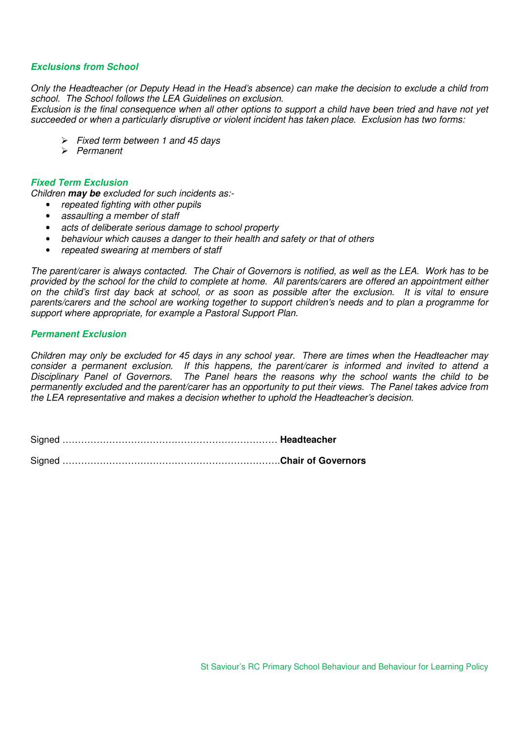#### *Exclusions from School*

*Only the Headteacher (or Deputy Head in the Head's absence) can make the decision to exclude a child from school. The School follows the LEA Guidelines on exclusion.* 

*Exclusion is the final consequence when all other options to support a child have been tried and have not yet succeeded or when a particularly disruptive or violent incident has taken place. Exclusion has two forms:* 

- *Fixed term between 1 and 45 days*
- *Permanent*

#### *Fixed Term Exclusion*

*Children may be excluded for such incidents as:-* 

- *repeated fighting with other pupils*
- *assaulting a member of staff*
- *acts of deliberate serious damage to school property*
- *behaviour which causes a danger to their health and safety or that of others*
- *repeated swearing at members of staff*

*The parent/carer is always contacted. The Chair of Governors is notified, as well as the LEA. Work has to be provided by the school for the child to complete at home. All parents/carers are offered an appointment either on the child's first day back at school, or as soon as possible after the exclusion. It is vital to ensure parents/carers and the school are working together to support children's needs and to plan a programme for support where appropriate, for example a Pastoral Support Plan.* 

#### *Permanent Exclusion*

*Children may only be excluded for 45 days in any school year. There are times when the Headteacher may consider a permanent exclusion. If this happens, the parent/carer is informed and invited to attend a Disciplinary Panel of Governors. The Panel hears the reasons why the school wants the child to be permanently excluded and the parent/carer has an opportunity to put their views. The Panel takes advice from the LEA representative and makes a decision whether to uphold the Headteacher's decision.* 

Signed …………………………………………………………… **Headteacher** 

Signed …………………………………………………………….**Chair of Governors**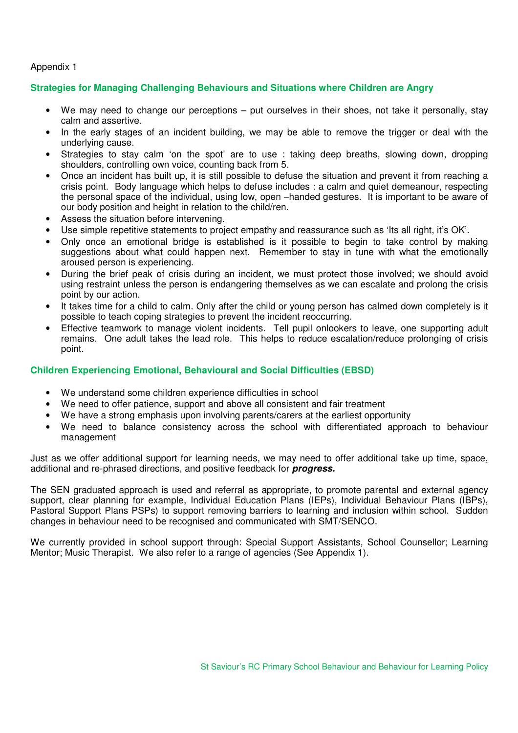#### Appendix 1

#### **Strategies for Managing Challenging Behaviours and Situations where Children are Angry**

- We may need to change our perceptions put ourselves in their shoes, not take it personally, stay calm and assertive.
- In the early stages of an incident building, we may be able to remove the trigger or deal with the underlying cause.
- Strategies to stay calm 'on the spot' are to use : taking deep breaths, slowing down, dropping shoulders, controlling own voice, counting back from 5.
- Once an incident has built up, it is still possible to defuse the situation and prevent it from reaching a crisis point. Body language which helps to defuse includes : a calm and quiet demeanour, respecting the personal space of the individual, using low, open –handed gestures. It is important to be aware of our body position and height in relation to the child/ren.
- Assess the situation before intervening.
- Use simple repetitive statements to project empathy and reassurance such as 'Its all right, it's OK'.
- Only once an emotional bridge is established is it possible to begin to take control by making suggestions about what could happen next. Remember to stay in tune with what the emotionally aroused person is experiencing.
- During the brief peak of crisis during an incident, we must protect those involved; we should avoid using restraint unless the person is endangering themselves as we can escalate and prolong the crisis point by our action.
- It takes time for a child to calm. Only after the child or young person has calmed down completely is it possible to teach coping strategies to prevent the incident reoccurring.
- Effective teamwork to manage violent incidents. Tell pupil onlookers to leave, one supporting adult remains. One adult takes the lead role. This helps to reduce escalation/reduce prolonging of crisis point.

#### **Children Experiencing Emotional, Behavioural and Social Difficulties (EBSD)**

- We understand some children experience difficulties in school
- We need to offer patience, support and above all consistent and fair treatment
- We have a strong emphasis upon involving parents/carers at the earliest opportunity
- We need to balance consistency across the school with differentiated approach to behaviour management

Just as we offer additional support for learning needs, we may need to offer additional take up time, space, additional and re-phrased directions, and positive feedback for *progress.* 

The SEN graduated approach is used and referral as appropriate, to promote parental and external agency support, clear planning for example, Individual Education Plans (IEPs), Individual Behaviour Plans (IBPs), Pastoral Support Plans PSPs) to support removing barriers to learning and inclusion within school. Sudden changes in behaviour need to be recognised and communicated with SMT/SENCO.

We currently provided in school support through: Special Support Assistants, School Counsellor; Learning Mentor; Music Therapist. We also refer to a range of agencies (See Appendix 1).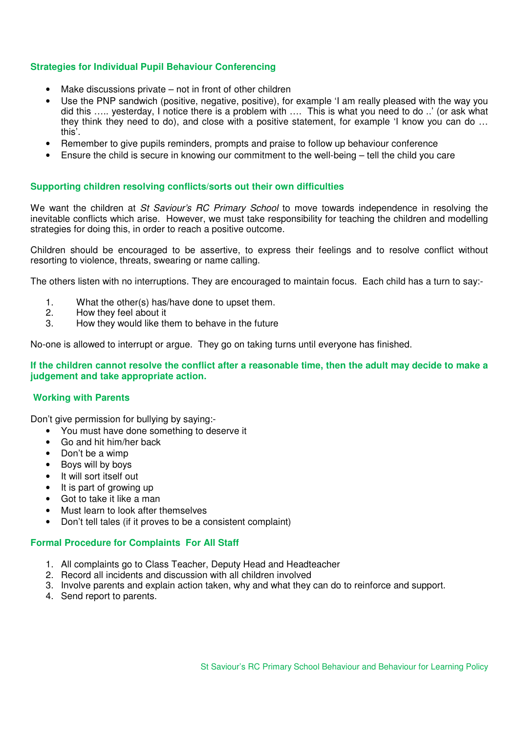#### **Strategies for Individual Pupil Behaviour Conferencing**

- Make discussions private  $-$  not in front of other children
- Use the PNP sandwich (positive, negative, positive), for example 'I am really pleased with the way you did this ….. yesterday, I notice there is a problem with …. This is what you need to do ..' (or ask what they think they need to do), and close with a positive statement, for example 'I know you can do … this'.
- Remember to give pupils reminders, prompts and praise to follow up behaviour conference
- Ensure the child is secure in knowing our commitment to the well-being tell the child you care

#### **Supporting children resolving conflicts/sorts out their own difficulties**

We want the children at *St Saviour's RC Primary School* to move towards independence in resolving the inevitable conflicts which arise. However, we must take responsibility for teaching the children and modelling strategies for doing this, in order to reach a positive outcome.

Children should be encouraged to be assertive, to express their feelings and to resolve conflict without resorting to violence, threats, swearing or name calling.

The others listen with no interruptions. They are encouraged to maintain focus. Each child has a turn to say:-

- 1. What the other(s) has/have done to upset them.<br>2 How they feel about it
- 2. How they feel about it
- 3. How they would like them to behave in the future

No-one is allowed to interrupt or argue. They go on taking turns until everyone has finished.

#### **If the children cannot resolve the conflict after a reasonable time, then the adult may decide to make a judgement and take appropriate action.**

#### **Working with Parents**

Don't give permission for bullying by saying:-

- You must have done something to deserve it
- Go and hit him/her back
- Don't be a wimp
- Boys will by boys
- It will sort itself out
- It is part of growing up
- Got to take it like a man
- Must learn to look after themselves
- Don't tell tales (if it proves to be a consistent complaint)

#### **Formal Procedure for Complaints For All Staff**

- 1. All complaints go to Class Teacher, Deputy Head and Headteacher
- 2. Record all incidents and discussion with all children involved
- 3. Involve parents and explain action taken, why and what they can do to reinforce and support.
- 4. Send report to parents.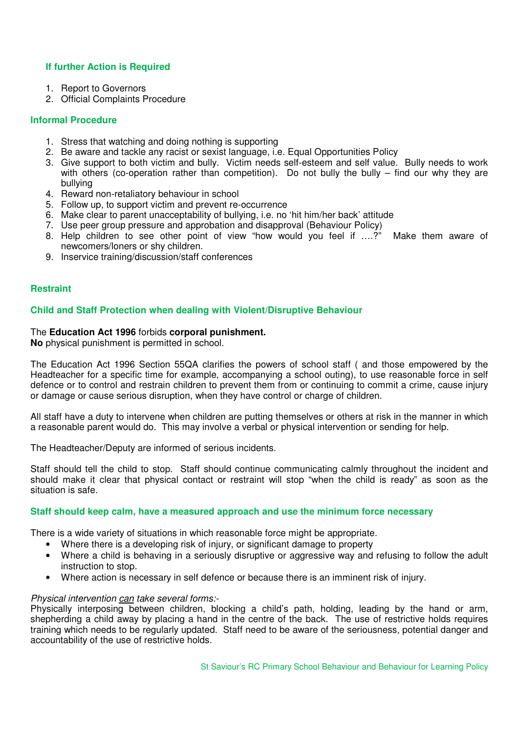#### **If further Action is Required**

- 1. Report to Governors
- 2. Official Complaints Procedure

#### **Informal Procedure**

- 1. Stress that watching and doing nothing is supporting
- 2. Be aware and tackle any racist or sexist language, i.e. Equal Opportunities Policy
- 3. Give support to both victim and bully. Victim needs self-esteem and self value. Bully needs to work with others (co-operation rather than competition). Do not bully the bully – find our why they are bullying
- 4. Reward non-retaliatory behaviour in school
- 5. Follow up, to support victim and prevent re-occurrence
- 6. Make clear to parent unacceptability of bullying, i.e. no 'hit him/her back' attitude
- 7. Use peer group pressure and approbation and disapproval (Behaviour Policy)
- 8. Help children to see other point of view "how would you feel if ….?" Make them aware of newcomers/loners or shy children.
- 9. Inservice training/discussion/staff conferences

#### **Restraint**

#### **Child and Staff Protection when dealing with Violent/Disruptive Behaviour**

#### The **Education Act 1996** forbids **corporal punishment.**

**No** physical punishment is permitted in school.

The Education Act 1996 Section 55QA clarifies the powers of school staff ( and those empowered by the Headteacher for a specific time for example, accompanying a school outing), to use reasonable force in self defence or to control and restrain children to prevent them from or continuing to commit a crime, cause injury or damage or cause serious disruption, when they have control or charge of children.

All staff have a duty to intervene when children are putting themselves or others at risk in the manner in which a reasonable parent would do. This may involve a verbal or physical intervention or sending for help.

The Headteacher/Deputy are informed of serious incidents.

Staff should tell the child to stop. Staff should continue communicating calmly throughout the incident and should make it clear that physical contact or restraint will stop "when the child is ready" as soon as the situation is safe.

#### **Staff should keep calm, have a measured approach and use the minimum force necessary**

There is a wide variety of situations in which reasonable force might be appropriate.

- Where there is a developing risk of injury, or significant damage to property
- Where a child is behaving in a seriously disruptive or aggressive way and refusing to follow the adult instruction to stop.
- Where action is necessary in self defence or because there is an imminent risk of injury.

#### *Physical intervention can take several forms:-*

Physically interposing between children, blocking a child's path, holding, leading by the hand or arm, shepherding a child away by placing a hand in the centre of the back. The use of restrictive holds requires training which needs to be regularly updated. Staff need to be aware of the seriousness, potential danger and accountability of the use of restrictive holds.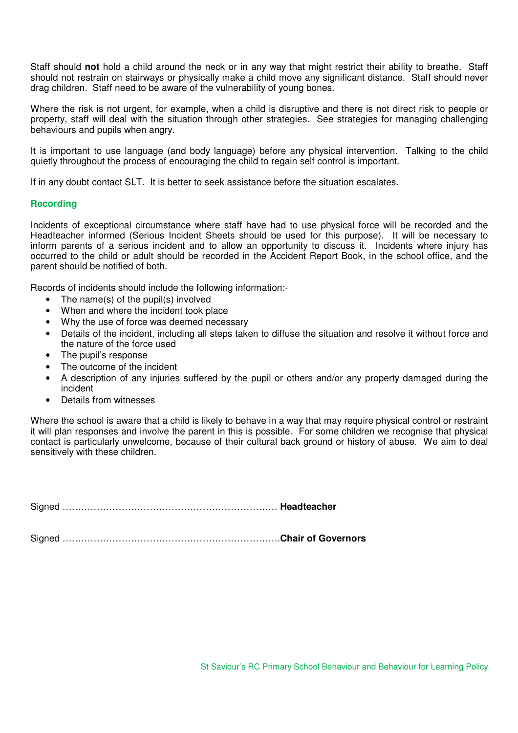Staff should **not** hold a child around the neck or in any way that might restrict their ability to breathe. Staff should not restrain on stairways or physically make a child move any significant distance. Staff should never drag children. Staff need to be aware of the vulnerability of young bones.

Where the risk is not urgent, for example, when a child is disruptive and there is not direct risk to people or property, staff will deal with the situation through other strategies. See strategies for managing challenging behaviours and pupils when angry.

It is important to use language (and body language) before any physical intervention. Talking to the child quietly throughout the process of encouraging the child to regain self control is important.

If in any doubt contact SLT. It is better to seek assistance before the situation escalates.

#### **Recording**

Incidents of exceptional circumstance where staff have had to use physical force will be recorded and the Headteacher informed (Serious Incident Sheets should be used for this purpose). It will be necessary to inform parents of a serious incident and to allow an opportunity to discuss it. Incidents where injury has occurred to the child or adult should be recorded in the Accident Report Book, in the school office, and the parent should be notified of both.

Records of incidents should include the following information:-

- The name(s) of the pupil(s) involved
- When and where the incident took place
- Why the use of force was deemed necessary
- Details of the incident, including all steps taken to diffuse the situation and resolve it without force and the nature of the force used
- The pupil's response
- The outcome of the incident
- A description of any injuries suffered by the pupil or others and/or any property damaged during the incident
- Details from witnesses

Where the school is aware that a child is likely to behave in a way that may require physical control or restraint it will plan responses and involve the parent in this is possible. For some children we recognise that physical contact is particularly unwelcome, because of their cultural back ground or history of abuse. We aim to deal sensitively with these children.

Signed …………………………………………………………… **Headteacher** 

Signed …………………………………………………………….**Chair of Governors**